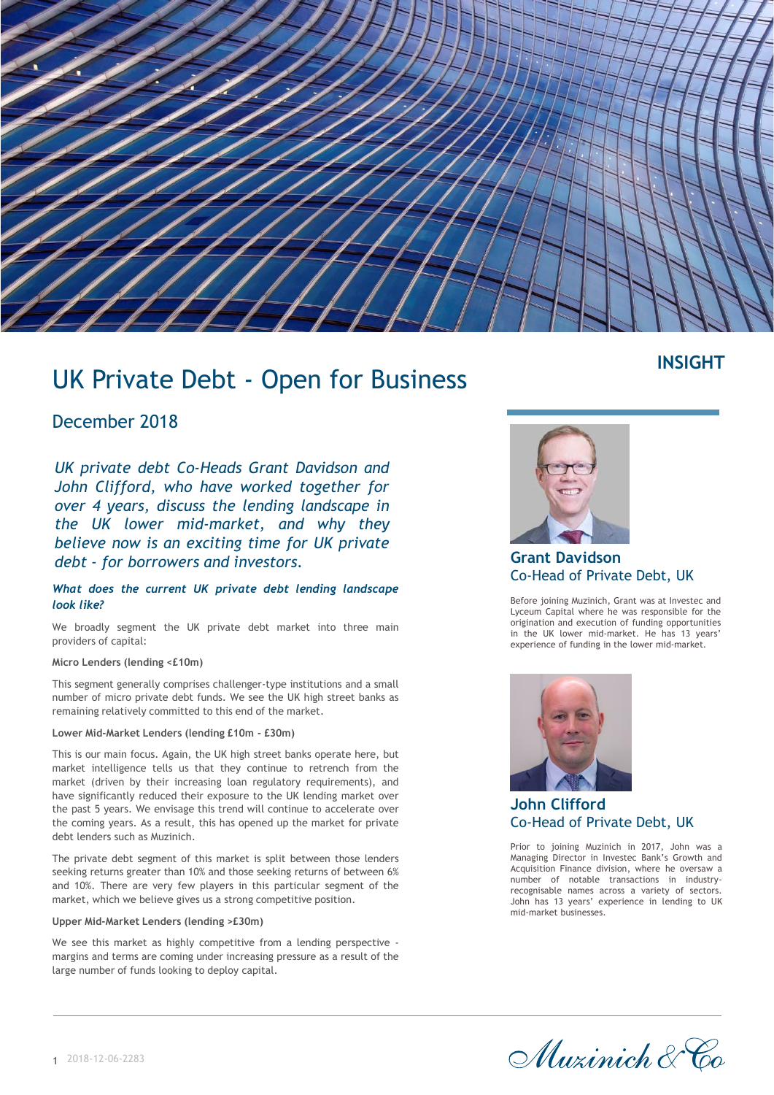

## **INSIGHT**

# UK Private Debt - Open for Business

## December 2018

*UK private debt Co-Heads Grant Davidson and John Clifford, who have worked together for over 4 years, discuss the lending landscape in the UK lower mid-market, and why they believe now is an exciting time for UK private debt - for borrowers and investors.*

#### *What does the current UK private debt lending landscape look like?*

We broadly segment the UK private debt market into three main providers of capital:

#### **Micro Lenders (lending <£10m)**

This segment generally comprises challenger-type institutions and a small number of micro private debt funds. We see the UK high street banks as remaining relatively committed to this end of the market.

#### **Lower Mid-Market Lenders (lending £10m - £30m)**

This is our main focus. Again, the UK high street banks operate here, but market intelligence tells us that they continue to retrench from the market (driven by their increasing loan regulatory requirements), and have significantly reduced their exposure to the UK lending market over the past 5 years. We envisage this trend will continue to accelerate over the coming years. As a result, this has opened up the market for private debt lenders such as Muzinich.

The private debt segment of this market is split between those lenders seeking returns greater than 10% and those seeking returns of between 6% and 10%. There are very few players in this particular segment of the market, which we believe gives us a strong competitive position.

#### **Upper Mid-Market Lenders (lending >£30m)**

We see this market as highly competitive from a lending perspective margins and terms are coming under increasing pressure as a result of the large number of funds looking to deploy capital.



**Grant Davidson** Co-Head of Private Debt, UK

Before joining Muzinich, Grant was at Investec and Lyceum Capital where he was responsible for the origination and execution of funding opportunities in the UK lower mid-market. He has 13 years' experience of funding in the lower mid-market.



**John Clifford** Co-Head of Private Debt, UK

Prior to joining Muzinich in 2017, John was a Managing Director in Investec Bank's Growth and Acquisition Finance division, where he oversaw a number of notable transactions in industryrecognisable names across a variety of sectors. John has 13 years' experience in lending to UK mid-market businesses.

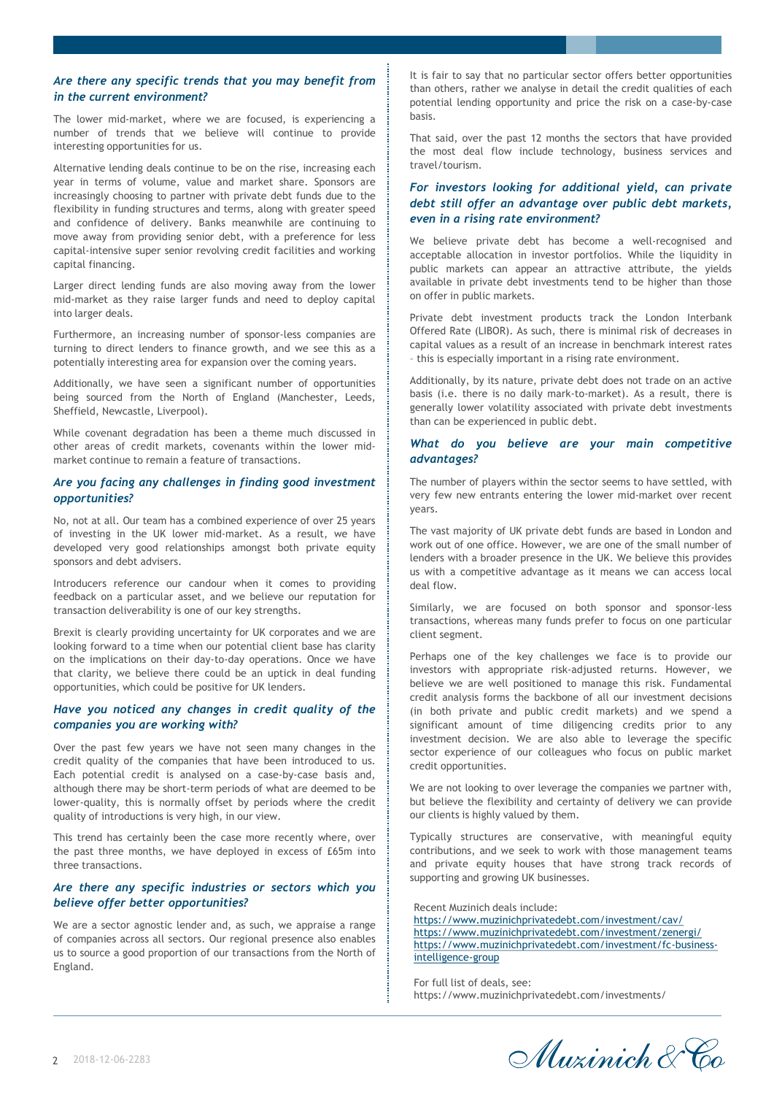#### *Are there any specific trends that you may benefit from in the current environment?*

The lower mid-market, where we are focused, is experiencing a number of trends that we believe will continue to provide interesting opportunities for us.

Alternative lending deals continue to be on the rise, increasing each year in terms of volume, value and market share. Sponsors are increasingly choosing to partner with private debt funds due to the flexibility in funding structures and terms, along with greater speed and confidence of delivery. Banks meanwhile are continuing to move away from providing senior debt, with a preference for less capital-intensive super senior revolving credit facilities and working capital financing.

Larger direct lending funds are also moving away from the lower mid-market as they raise larger funds and need to deploy capital into larger deals.

Furthermore, an increasing number of sponsor-less companies are turning to direct lenders to finance growth, and we see this as a potentially interesting area for expansion over the coming years.

Additionally, we have seen a significant number of opportunities being sourced from the North of England (Manchester, Leeds, Sheffield, Newcastle, Liverpool).

While covenant degradation has been a theme much discussed in other areas of credit markets, covenants within the lower midmarket continue to remain a feature of transactions.

#### *Are you facing any challenges in finding good investment opportunities?*

No, not at all. Our team has a combined experience of over 25 years of investing in the UK lower mid-market. As a result, we have developed very good relationships amongst both private equity sponsors and debt advisers.

Introducers reference our candour when it comes to providing feedback on a particular asset, and we believe our reputation for transaction deliverability is one of our key strengths.

Brexit is clearly providing uncertainty for UK corporates and we are looking forward to a time when our potential client base has clarity on the implications on their day-to-day operations. Once we have that clarity, we believe there could be an uptick in deal funding opportunities, which could be positive for UK lenders.

#### *Have you noticed any changes in credit quality of the companies you are working with?*

Over the past few years we have not seen many changes in the credit quality of the companies that have been introduced to us. Each potential credit is analysed on a case-by-case basis and, although there may be short-term periods of what are deemed to be lower-quality, this is normally offset by periods where the credit quality of introductions is very high, in our view.

This trend has certainly been the case more recently where, over the past three months, we have deployed in excess of £65m into three transactions.

#### *Are there any specific industries or sectors which you believe offer better opportunities?*

We are a sector agnostic lender and, as such, we appraise a range of companies across all sectors. Our regional presence also enables us to source a good proportion of our transactions from the North of England.

It is fair to say that no particular sector offers better opportunities than others, rather we analyse in detail the credit qualities of each potential lending opportunity and price the risk on a case-by-case basis.

That said, over the past 12 months the sectors that have provided the most deal flow include technology, business services and travel/tourism.

#### *For investors looking for additional yield, can private debt still offer an advantage over public debt markets, even in a rising rate environment?*

We believe private debt has become a well-recognised and acceptable allocation in investor portfolios. While the liquidity in public markets can appear an attractive attribute, the yields available in private debt investments tend to be higher than those on offer in public markets.

Private debt investment products track the London Interbank Offered Rate (LIBOR). As such, there is minimal risk of decreases in capital values as a result of an increase in benchmark interest rates – this is especially important in a rising rate environment.

Additionally, by its nature, private debt does not trade on an active basis (i.e. there is no daily mark-to-market). As a result, there is generally lower volatility associated with private debt investments than can be experienced in public debt.

#### *What do you believe are your main competitive advantages?*

The number of players within the sector seems to have settled, with very few new entrants entering the lower mid-market over recent years.

The vast majority of UK private debt funds are based in London and work out of one office. However, we are one of the small number of lenders with a broader presence in the UK. We believe this provides us with a competitive advantage as it means we can access local deal flow.

Similarly, we are focused on both sponsor and sponsor-less transactions, whereas many funds prefer to focus on one particular client segment.

Perhaps one of the key challenges we face is to provide our investors with appropriate risk-adjusted returns. However, we believe we are well positioned to manage this risk. Fundamental credit analysis forms the backbone of all our investment decisions (in both private and public credit markets) and we spend a significant amount of time diligencing credits prior to any investment decision. We are also able to leverage the specific sector experience of our colleagues who focus on public market credit opportunities.

We are not looking to over leverage the companies we partner with, but believe the flexibility and certainty of delivery we can provide our clients is highly valued by them.

Typically structures are conservative, with meaningful equity contributions, and we seek to work with those management teams and private equity houses that have strong track records of supporting and growing UK businesses.

Recent Muzinich deals include: <https://www.muzinichprivatedebt.com/investment/cav/> <https://www.muzinichprivatedebt.com/investment/zenergi/> [https://www.muzinichprivatedebt.com/investment/fc-business](https://www.muzinichprivatedebt.com/investment/fc-business-intelligence-group)intelligence-group

For full list of deals, see: https://www.muzinichprivatedebt.com/investments/